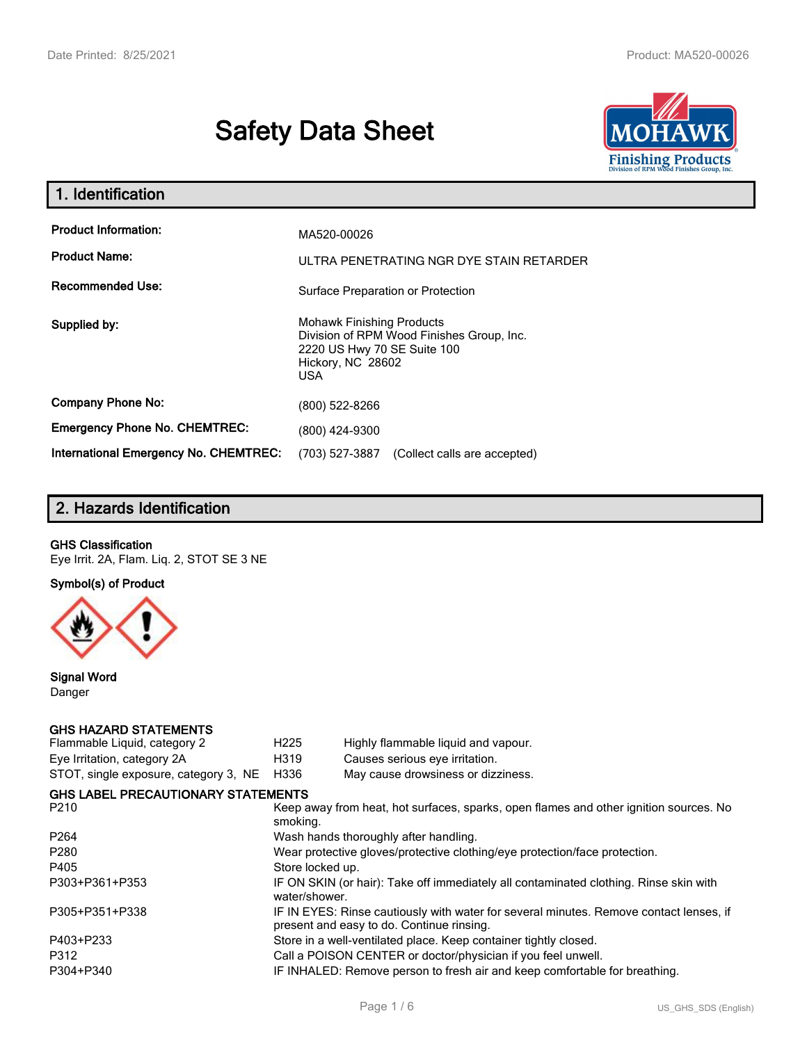# **Safety Data Sheet**



| 1. Identification                                   |                                                                                                                                           |
|-----------------------------------------------------|-------------------------------------------------------------------------------------------------------------------------------------------|
| <b>Product Information:</b><br><b>Product Name:</b> | MA520-00026<br>ULTRA PENETRATING NGR DYE STAIN RETARDER                                                                                   |
| <b>Recommended Use:</b>                             | Surface Preparation or Protection                                                                                                         |
| Supplied by:                                        | <b>Mohawk Finishing Products</b><br>Division of RPM Wood Finishes Group, Inc.<br>2220 US Hwy 70 SE Suite 100<br>Hickory, NC 28602<br>USA. |
| <b>Company Phone No:</b>                            | (800) 522-8266                                                                                                                            |
| <b>Emergency Phone No. CHEMTREC:</b>                | (800) 424-9300                                                                                                                            |
| <b>International Emergency No. CHEMTREC:</b>        | (703) 527-3887<br>(Collect calls are accepted)                                                                                            |

# **2. Hazards Identification**

#### **GHS Classification**

Eye Irrit. 2A, Flam. Liq. 2, STOT SE 3 NE

**Symbol(s) of Product**



**Signal Word** Danger

#### **GHS HAZARD STATEMENTS**

| H <sub>225</sub>                                                           | Highly flammable liquid and vapour.                                                                                                 |  |
|----------------------------------------------------------------------------|-------------------------------------------------------------------------------------------------------------------------------------|--|
| H319                                                                       | Causes serious eye irritation.                                                                                                      |  |
| H336                                                                       | May cause drowsiness or dizziness.                                                                                                  |  |
|                                                                            |                                                                                                                                     |  |
| smoking.                                                                   | Keep away from heat, hot surfaces, sparks, open flames and other ignition sources. No                                               |  |
| Wash hands thoroughly after handling.                                      |                                                                                                                                     |  |
| Wear protective gloves/protective clothing/eye protection/face protection. |                                                                                                                                     |  |
| Store locked up.                                                           |                                                                                                                                     |  |
| water/shower.                                                              | IF ON SKIN (or hair): Take off immediately all contaminated clothing. Rinse skin with                                               |  |
|                                                                            | IF IN EYES: Rinse cautiously with water for several minutes. Remove contact lenses, if<br>present and easy to do. Continue rinsing. |  |
|                                                                            | Store in a well-ventilated place. Keep container tightly closed.                                                                    |  |
|                                                                            | Call a POISON CENTER or doctor/physician if you feel unwell.                                                                        |  |
|                                                                            | IF INHALED: Remove person to fresh air and keep comfortable for breathing.                                                          |  |
|                                                                            | <b>GHS LABEL PRECAUTIONARY STATEMENTS</b>                                                                                           |  |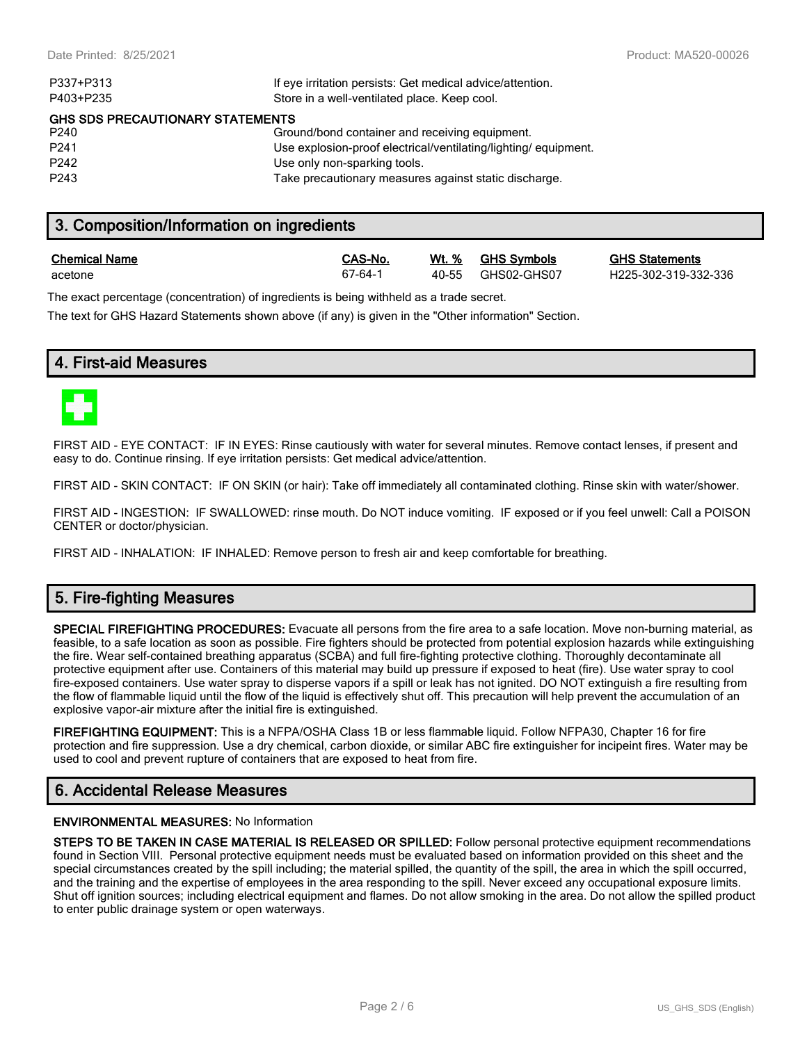| P337+P313                        | If eye irritation persists: Get medical advice/attention.      |
|----------------------------------|----------------------------------------------------------------|
| P403+P235                        | Store in a well-ventilated place. Keep cool.                   |
| GHS SDS PRECAUTIONARY STATEMENTS |                                                                |
| P <sub>240</sub>                 | Ground/bond container and receiving equipment.                 |
| P <sub>241</sub>                 | Use explosion-proof electrical/ventilating/lighting/equipment. |
| P <sub>242</sub>                 | Use only non-sparking tools.                                   |
| P <sub>243</sub>                 | Take precautionary measures against static discharge.          |

# **3. Composition/Information on ingredients**

| <b>Chemical Name</b> |  |  |
|----------------------|--|--|
|                      |  |  |

| S-No. | Wt. 9 |
|-------|-------|
| 64-1  | 40-5  |

| <b>Chemical Name</b> | CAS-No   |       | Wt. % GHS Symbols | <b>GHS Statements</b> |
|----------------------|----------|-------|-------------------|-----------------------|
| acetone              | $67-64-$ | 40-55 | GHS02-GHS07       | H225-302-319-332-336  |

The exact percentage (concentration) of ingredients is being withheld as a trade secret.

The text for GHS Hazard Statements shown above (if any) is given in the "Other information" Section.

# **4. First-aid Measures**



FIRST AID - EYE CONTACT: IF IN EYES: Rinse cautiously with water for several minutes. Remove contact lenses, if present and easy to do. Continue rinsing. If eye irritation persists: Get medical advice/attention.

FIRST AID - SKIN CONTACT: IF ON SKIN (or hair): Take off immediately all contaminated clothing. Rinse skin with water/shower.

FIRST AID - INGESTION: IF SWALLOWED: rinse mouth. Do NOT induce vomiting. IF exposed or if you feel unwell: Call a POISON CENTER or doctor/physician.

FIRST AID - INHALATION: IF INHALED: Remove person to fresh air and keep comfortable for breathing.

# **5. Fire-fighting Measures**

**SPECIAL FIREFIGHTING PROCEDURES:** Evacuate all persons from the fire area to a safe location. Move non-burning material, as feasible, to a safe location as soon as possible. Fire fighters should be protected from potential explosion hazards while extinguishing the fire. Wear self-contained breathing apparatus (SCBA) and full fire-fighting protective clothing. Thoroughly decontaminate all protective equipment after use. Containers of this material may build up pressure if exposed to heat (fire). Use water spray to cool fire-exposed containers. Use water spray to disperse vapors if a spill or leak has not ignited. DO NOT extinguish a fire resulting from the flow of flammable liquid until the flow of the liquid is effectively shut off. This precaution will help prevent the accumulation of an explosive vapor-air mixture after the initial fire is extinguished.

**FIREFIGHTING EQUIPMENT:** This is a NFPA/OSHA Class 1B or less flammable liquid. Follow NFPA30, Chapter 16 for fire protection and fire suppression. Use a dry chemical, carbon dioxide, or similar ABC fire extinguisher for incipeint fires. Water may be used to cool and prevent rupture of containers that are exposed to heat from fire.

# **6. Accidental Release Measures**

#### **ENVIRONMENTAL MEASURES:** No Information

**STEPS TO BE TAKEN IN CASE MATERIAL IS RELEASED OR SPILLED:** Follow personal protective equipment recommendations found in Section VIII. Personal protective equipment needs must be evaluated based on information provided on this sheet and the special circumstances created by the spill including; the material spilled, the quantity of the spill, the area in which the spill occurred, and the training and the expertise of employees in the area responding to the spill. Never exceed any occupational exposure limits. Shut off ignition sources; including electrical equipment and flames. Do not allow smoking in the area. Do not allow the spilled product to enter public drainage system or open waterways.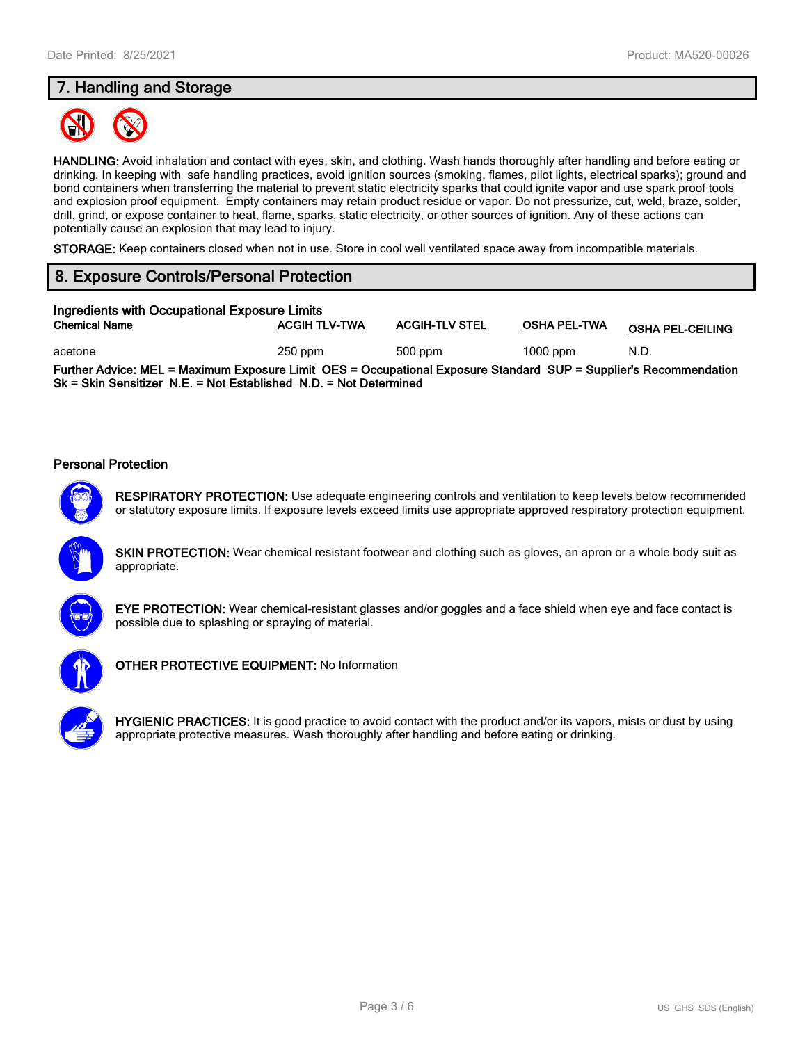# **7. Handling and Storage**



**HANDLING:** Avoid inhalation and contact with eyes, skin, and clothing. Wash hands thoroughly after handling and before eating or drinking. In keeping with safe handling practices, avoid ignition sources (smoking, flames, pilot lights, electrical sparks); ground and bond containers when transferring the material to prevent static electricity sparks that could ignite vapor and use spark proof tools and explosion proof equipment. Empty containers may retain product residue or vapor. Do not pressurize, cut, weld, braze, solder, drill, grind, or expose container to heat, flame, sparks, static electricity, or other sources of ignition. Any of these actions can potentially cause an explosion that may lead to injury.

**STORAGE:** Keep containers closed when not in use. Store in cool well ventilated space away from incompatible materials.

# **8. Exposure Controls/Personal Protection**

| Ingredients with Occupational Exposure Limits                                                                                                                                          |                      |                       |                     |                         |  |
|----------------------------------------------------------------------------------------------------------------------------------------------------------------------------------------|----------------------|-----------------------|---------------------|-------------------------|--|
| <b>Chemical Name</b>                                                                                                                                                                   | <b>ACGIH TLV-TWA</b> | <b>ACGIH-TLV STEL</b> | <b>OSHA PEL-TWA</b> | <b>OSHA PEL-CEILING</b> |  |
| acetone                                                                                                                                                                                | $250$ ppm            | 500 ppm               | $1000$ ppm          | N.D.                    |  |
| Further Advice: MEL = Maximum Exposure Limit OES = Occupational Exposure Standard SUP = Supplier's Recommendation<br>Sk = Skin Sensitizer N.E. = Not Established N.D. = Not Determined |                      |                       |                     |                         |  |

#### **Personal Protection**

**RESPIRATORY PROTECTION:** Use adequate engineering controls and ventilation to keep levels below recommended or statutory exposure limits. If exposure levels exceed limits use appropriate approved respiratory protection equipment.

**SKIN PROTECTION:** Wear chemical resistant footwear and clothing such as gloves, an apron or a whole body suit as appropriate.



**EYE PROTECTION:** Wear chemical-resistant glasses and/or goggles and a face shield when eye and face contact is possible due to splashing or spraying of material.



**OTHER PROTECTIVE EQUIPMENT:** No Information



**HYGIENIC PRACTICES:** It is good practice to avoid contact with the product and/or its vapors, mists or dust by using appropriate protective measures. Wash thoroughly after handling and before eating or drinking.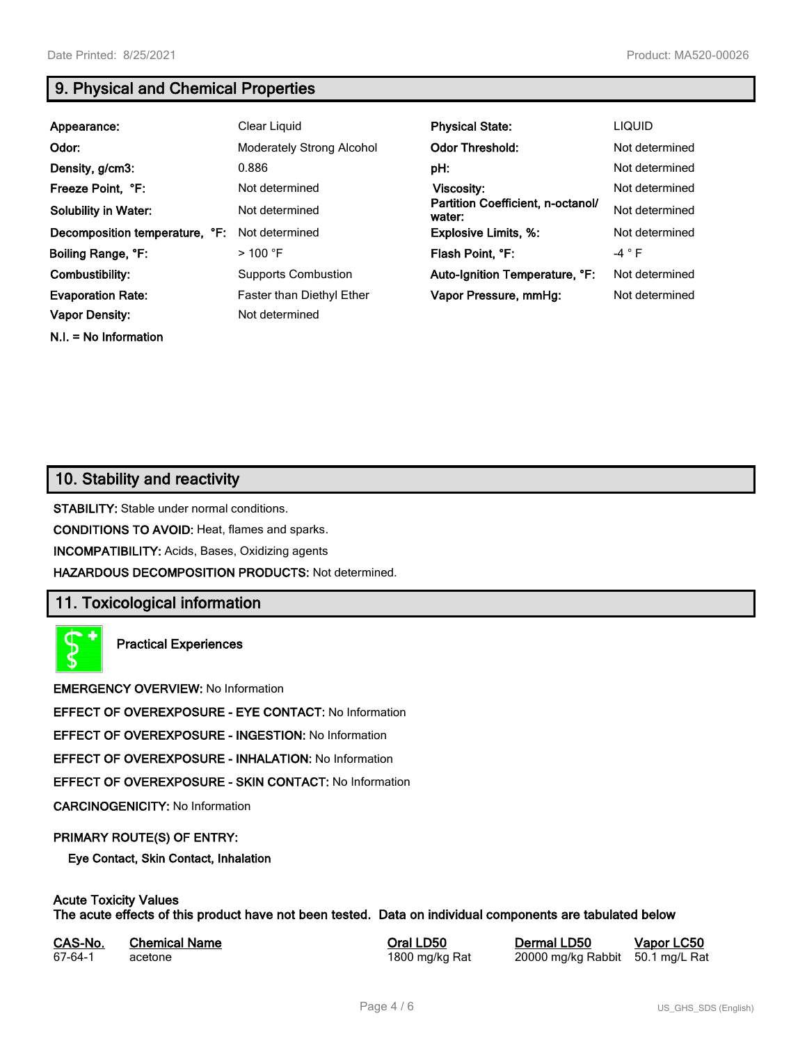**N.I. = No Information**

# **9. Physical and Chemical Properties**

| Appearance:                                | Clear Liquid                                       | <b>Physical State:</b>                      | <b>LIQUID</b>  |
|--------------------------------------------|----------------------------------------------------|---------------------------------------------|----------------|
| Odor:                                      | Moderately Strong Alcohol                          | <b>Odor Threshold:</b>                      | Not determined |
| Density, g/cm3:                            | 0.886                                              | pH:                                         | Not determined |
| Freeze Point, °F:                          | Not determined                                     | Viscosity:                                  | Not determined |
| <b>Solubility in Water:</b>                | Not determined                                     | Partition Coefficient, n-octanol/<br>water: | Not determined |
| Decomposition temperature, °F:             | Not determined                                     | <b>Explosive Limits, %:</b>                 | Not determined |
| Boiling Range, °F:                         | $>100$ °F                                          | Flash Point, °F:                            | $-4$ $\circ$ F |
| Combustibility:                            | <b>Supports Combustion</b>                         | Auto-Ignition Temperature, °F:              | Not determined |
| <b>Evaporation Rate:</b><br>Vapor Density: | <b>Faster than Diethyl Ether</b><br>Not determined | Vapor Pressure, mmHg:                       | Not determined |

# **10. Stability and reactivity**

**STABILITY:** Stable under normal conditions.

**CONDITIONS TO AVOID:** Heat, flames and sparks.

**INCOMPATIBILITY:** Acids, Bases, Oxidizing agents

**HAZARDOUS DECOMPOSITION PRODUCTS:** Not determined.

# **11. Toxicological information**

**Practical Experiences**

**EMERGENCY OVERVIEW:** No Information

**EFFECT OF OVEREXPOSURE - EYE CONTACT:** No Information

**EFFECT OF OVEREXPOSURE - INGESTION:** No Information

**EFFECT OF OVEREXPOSURE - INHALATION:** No Information

**EFFECT OF OVEREXPOSURE - SKIN CONTACT:** No Information

**CARCINOGENICITY:** No Information

#### **PRIMARY ROUTE(S) OF ENTRY:**

**Eye Contact, Skin Contact, Inhalation**

# **Acute Toxicity Values**

**The acute effects of this product have not been tested. Data on individual components are tabulated below**

| CAS-No. | <b>Chemical Name</b> |
|---------|----------------------|
| 67-64-1 | acetone              |

**Casary Chemical Chemical LD50 Chemical LD50 Vapor LC50** 1800 mg/kg Rat 20000 mg/kg Rabbit 50.1 mg/L Rat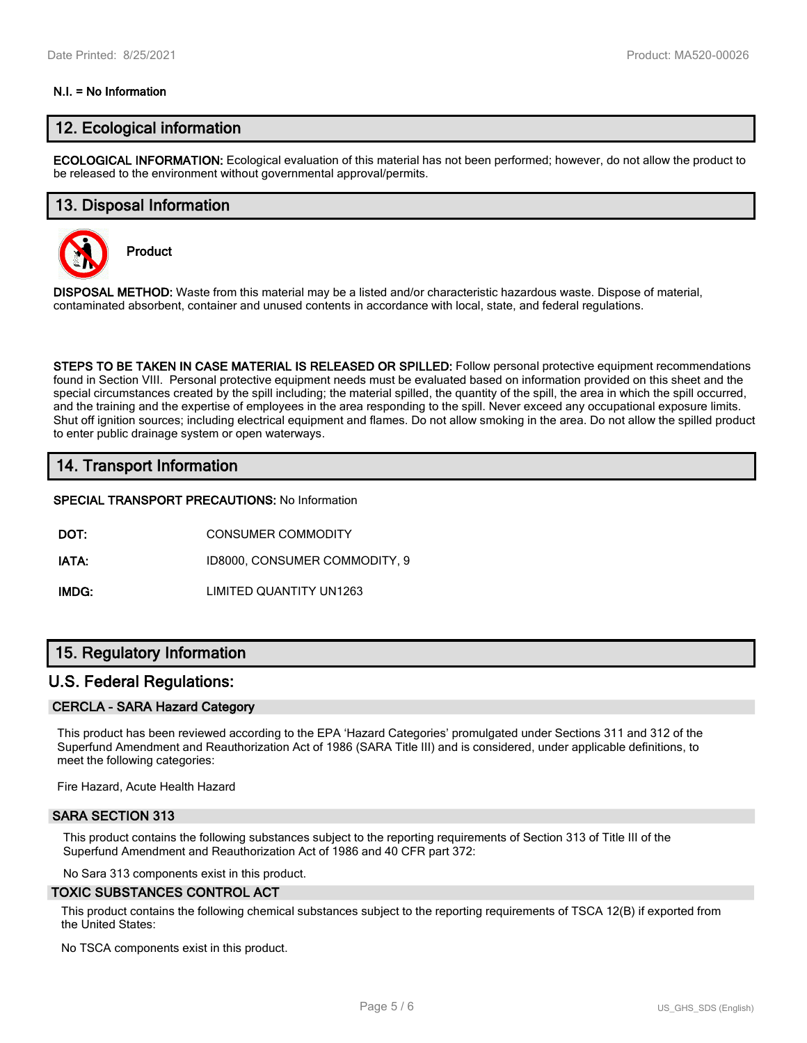#### **N.I. = No Information**

## **12. Ecological information**

**ECOLOGICAL INFORMATION:** Ecological evaluation of this material has not been performed; however, do not allow the product to be released to the environment without governmental approval/permits.

## **13. Disposal Information**

**Product**



**DISPOSAL METHOD:** Waste from this material may be a listed and/or characteristic hazardous waste. Dispose of material, contaminated absorbent, container and unused contents in accordance with local, state, and federal regulations.

**STEPS TO BE TAKEN IN CASE MATERIAL IS RELEASED OR SPILLED:** Follow personal protective equipment recommendations found in Section VIII. Personal protective equipment needs must be evaluated based on information provided on this sheet and the special circumstances created by the spill including; the material spilled, the quantity of the spill, the area in which the spill occurred, and the training and the expertise of employees in the area responding to the spill. Never exceed any occupational exposure limits. Shut off ignition sources; including electrical equipment and flames. Do not allow smoking in the area. Do not allow the spilled product to enter public drainage system or open waterways.

## **14. Transport Information**

#### **SPECIAL TRANSPORT PRECAUTIONS:** No Information

**DOT:** CONSUMER COMMODITY

**IATA:** ID8000, CONSUMER COMMODITY, 9

**IMDG:** LIMITED QUANTITY UN1263

### **15. Regulatory Information**

#### **U.S. Federal Regulations:**

#### **CERCLA - SARA Hazard Category**

This product has been reviewed according to the EPA 'Hazard Categories' promulgated under Sections 311 and 312 of the Superfund Amendment and Reauthorization Act of 1986 (SARA Title III) and is considered, under applicable definitions, to meet the following categories:

Fire Hazard, Acute Health Hazard

#### **SARA SECTION 313**

This product contains the following substances subject to the reporting requirements of Section 313 of Title III of the Superfund Amendment and Reauthorization Act of 1986 and 40 CFR part 372:

No Sara 313 components exist in this product.

#### **TOXIC SUBSTANCES CONTROL ACT**

This product contains the following chemical substances subject to the reporting requirements of TSCA 12(B) if exported from the United States:

No TSCA components exist in this product.